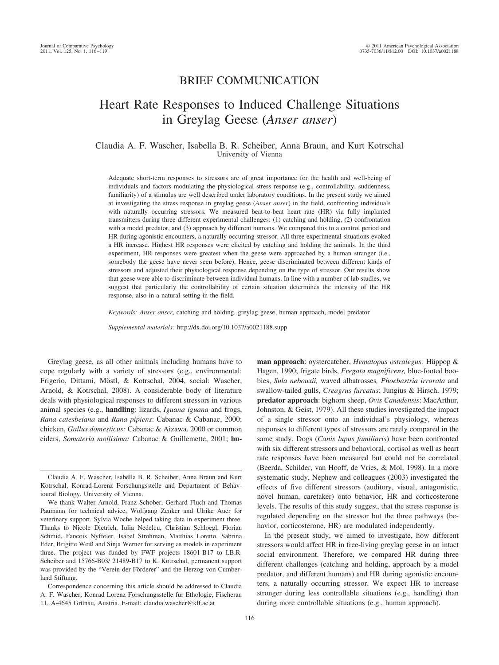# BRIEF COMMUNICATION

# Heart Rate Responses to Induced Challenge Situations in Greylag Geese (*Anser anser*)

# Claudia A. F. Wascher, Isabella B. R. Scheiber, Anna Braun, and Kurt Kotrschal University of Vienna

Adequate short-term responses to stressors are of great importance for the health and well-being of individuals and factors modulating the physiological stress response (e.g., controllability, suddenness, familiarity) of a stimulus are well described under laboratory conditions. In the present study we aimed at investigating the stress response in greylag geese (*Anser anser*) in the field, confronting individuals with naturally occurring stressors. We measured beat-to-beat heart rate (HR) via fully implanted transmitters during three different experimental challenges: (1) catching and holding, (2) confrontation with a model predator, and (3) approach by different humans. We compared this to a control period and HR during agonistic encounters, a naturally occurring stressor. All three experimental situations evoked a HR increase. Highest HR responses were elicited by catching and holding the animals. In the third experiment, HR responses were greatest when the geese were approached by a human stranger (i.e., somebody the geese have never seen before). Hence, geese discriminated between different kinds of stressors and adjusted their physiological response depending on the type of stressor. Our results show that geese were able to discriminate between individual humans. In line with a number of lab studies, we suggest that particularly the controllability of certain situation determines the intensity of the HR response, also in a natural setting in the field.

*Keywords: Anser anser*, catching and holding, greylag geese, human approach, model predator

*Supplemental materials:* http://dx.doi.org/10.1037/a0021188.supp

Greylag geese, as all other animals including humans have to cope regularly with a variety of stressors (e.g., environmental: Frigerio, Dittami, Möstl, & Kotrschal, 2004, social: Wascher, Arnold, & Kotrschal, 2008). A considerable body of literature deals with physiological responses to different stressors in various animal species (e.g., **handling**: lizards, *Iguana iguana* and frogs, *Rana catesbeiana* and *Rana pipiens*: Cabanac & Cabanac, 2000; chicken, *Gallus domesticus:* Cabanac & Aizawa, 2000 or common eiders, *Somateria mollisima:* Cabanac & Guillemette, 2001; **hu-**

**man approach**: oystercatcher, *Hematopus ostralegus*: Hüppop & Hagen, 1990; frigate birds, *Fregata magnificens,* blue-footed boobies, *Sula nebouxii,* waved albatrosses*, Phoebastria irrorata* and swallow-tailed gulls, *Creagrus furcatus*: Jungius & Hirsch, 1979; **predator approach**: bighorn sheep, *Ovis Canadensis*: MacArthur, Johnston, & Geist, 1979). All these studies investigated the impact of a single stressor onto an individual's physiology, whereas responses to different types of stressors are rarely compared in the same study. Dogs (*Canis lupus familiaris*) have been confronted with six different stressors and behavioral, cortisol as well as heart rate responses have been measured but could not be correlated (Beerda, Schilder, van Hooff, de Vries, & Mol, 1998). In a more systematic study, Nephew and colleagues (2003) investigated the effects of five different stressors (auditory, visual, antagonistic, novel human, caretaker) onto behavior, HR and corticosterone levels. The results of this study suggest, that the stress response is regulated depending on the stressor but the three pathways (behavior, corticosterone, HR) are modulated independently.

In the present study, we aimed to investigate, how different stressors would affect HR in free-living greylag geese in an intact social environment. Therefore, we compared HR during three different challenges (catching and holding, approach by a model predator, and different humans) and HR during agonistic encounters, a naturally occurring stressor. We expect HR to increase stronger during less controllable situations (e.g., handling) than during more controllable situations (e.g., human approach).

Claudia A. F. Wascher, Isabella B. R. Scheiber, Anna Braun and Kurt Kotrschal, Konrad-Lorenz Forschungsstelle and Department of Behavioural Biology, University of Vienna.

We thank Walter Arnold, Franz Schober, Gerhard Fluch and Thomas Paumann for technical advice, Wolfgang Zenker and Ulrike Auer for veterinary support. Sylvia Woche helped taking data in experiment three. Thanks to Nicole Dietrich, Iulia Nedelcu, Christian Schloegl, Florian Schmid, Fancois Nyffeler, Isabel Strohman, Matthias Loretto, Sabrina Eder, Brigitte Weiß and Sinja Werner for serving as models in experiment three. The project was funded by FWF projects 18601-B17 to I.B.R. Scheiber and 15766-B03/ 21489-B17 to K. Kotrschal, permanent support was provided by the "Verein der Förderer" and the Herzog von Cumberland Stiftung.

Correspondence concerning this article should be addressed to Claudia A. F. Wascher, Konrad Lorenz Forschungsstelle für Ethologie, Fischerau 11, A-4645 Grünau, Austria. E-mail: claudia.wascher@klf.ac.at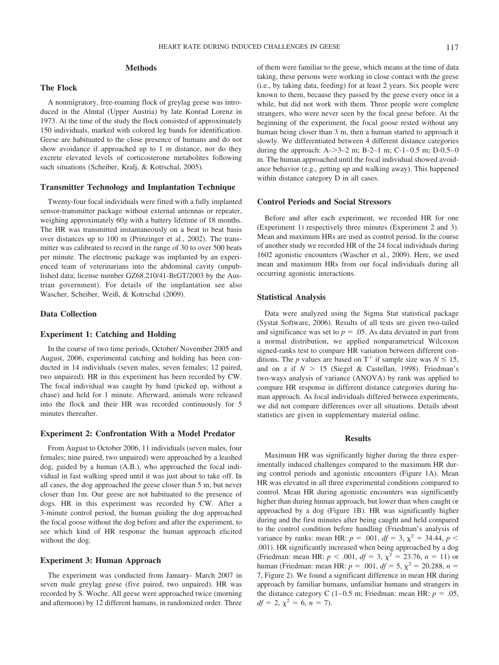# **Methods**

## **The Flock**

A nonmigratory, free-roaming flock of greylag geese was introduced in the Almtal (Upper Austria) by late Konrad Lorenz in 1973. At the time of the study the flock consisted of approximately 150 individuals, marked with colored leg bands for identification. Geese are habituated to the close presence of humans and do not show avoidance if approached up to 1 m distance, nor do they excrete elevated levels of corticosterone metabolites following such situations (Scheiber, Kralj, & Kotrschal, 2005).

#### **Transmitter Technology and Implantation Technique**

Twenty-four focal individuals were fitted with a fully implanted sensor-transmitter package without external antennas or repeater, weighing approximately 60*g* with a battery lifetime of 18 months. The HR was transmitted instantaneously on a beat to beat basis over distances up to 100 m (Prinzinger et al., 2002). The transmitter was calibrated to record in the range of 30 to over 500 beats per minute. The electronic package was implanted by an experienced team of veterinarians into the abdominal cavity (unpublished data; license number GZ68.210/41-BrGT/2003 by the Austrian government). For details of the implantation see also Wascher, Scheiber, Weiß, & Kotrschal (2009).

# **Data Collection**

#### **Experiment 1: Catching and Holding**

In the course of two time periods, October/ November 2005 and August, 2006, experimental catching and holding has been conducted in 14 individuals (seven males, seven females; 12 paired, two unpaired). HR in this experiment has been recorded by CW. The focal individual was caught by hand (picked up, without a chase) and held for 1 minute. Afterward, animals were released into the flock and their HR was recorded continuously for 5 minutes thereafter.

# **Experiment 2: Confrontation With a Model Predator**

From August to October 2006, 11 individuals (seven males, four females; nine paired, two unpaired) were approached by a leashed dog, guided by a human (A.B.), who approached the focal individual in fast walking speed until it was just about to take off. In all cases, the dog approached the geese closer than 5 m, but never closer than 1m. Our geese are not habituated to the presence of dogs. HR in this experiment was recorded by CW. After a 3-minute control period, the human guiding the dog approached the focal goose without the dog before and after the experiment, to see which kind of HR response the human approach elicited without the dog.

#### **Experiment 3: Human Approach**

The experiment was conducted from January- March 2007 in seven male greylag geese (five paired, two unpaired). HR was recorded by S. Woche. All geese were approached twice (morning and afternoon) by 12 different humans, in randomized order. Three

of them were familiar to the geese, which means at the time of data taking, these persons were working in close contact with the geese (i.e., by taking data, feeding) for at least 2 years. Six people were known to them, because they passed by the geese every once in a while, but did not work with them. Three people were complete strangers, who were never seen by the focal geese before. At the beginning of the experiment, the focal goose rested without any human being closer than 3 m, then a human started to approach it slowly. We differentiated between 4 different distance categories during the approach:  $A > 3-2$  m;  $B-2-1$  m;  $C-1-0.5$  m;  $D-0.5-0$ m. The human approached until the focal individual showed avoidance behavior (e.g., getting up and walking away). This happened within distance category D in all cases.

### **Control Periods and Social Stressors**

Before and after each experiment, we recorded HR for one (Experiment 1) respectively three minutes (Experiment 2 and 3). Mean and maximum HRs are used as control period. In the course of another study we recorded HR of the 24 focal individuals during 1602 agonistic encounters (Wascher et al., 2009). Here, we used mean and maximum HRs from our focal individuals during all occurring agonistic interactions.

# **Statistical Analysis**

Data were analyzed using the Sigma Stat statistical package (Systat Software, 2006). Results of all tests are given two-tailed and significance was set to  $p = 0.05$ . As data deviated in part from a normal distribution, we applied nonparametrical Wilcoxon signed-ranks test to compare HR variation between different conditions. The *p* values are based on  $T^+$  if sample size was  $N \le 15$ , and on z if  $N > 15$  (Siegel & Castellan, 1998). Friedman's two-ways analysis of variance (ANOVA) by rank was applied to compare HR response in different distance categories during human approach. As focal individuals differed between experiments, we did not compare differences over all situations. Details about statistics are given in supplementary material online.

#### **Results**

Maximum HR was significantly higher during the three experimentally induced challenges compared to the maximum HR during control periods and agonistic encounters (Figure 1A). Mean HR was elevated in all three experimental conditions compared to control. Mean HR during agonistic encounters was significantly higher than during human approach, but lower than when caught or approached by a dog (Figure 1B). HR was significantly higher during and the first minutes after being caught and held compared to the control condition before handling (Friedman's analysis of variance by ranks: mean HR:  $p = .001$ ,  $df = 3$ ,  $\chi^2 = 34.44$ ,  $p <$ .001). HR significantly increased when being approached by a dog (Friedman: mean HR:  $p < .001$ ,  $df = 3$ ,  $\chi^2 = 23.76$ ,  $n = 11$ ) or human (Friedman: mean HR:  $p = .001$ ,  $df = 5$ ,  $\chi^2 = 20.288$ ,  $n =$ 7, Figure 2). We found a significant difference in mean HR during approach by familiar humans, unfamiliar humans and strangers in the distance category C  $(1-0.5 \text{ m})$ ; Friedman: mean HR:  $p = .05$ ,  $df = 2, \chi^2 = 6, n = 7.$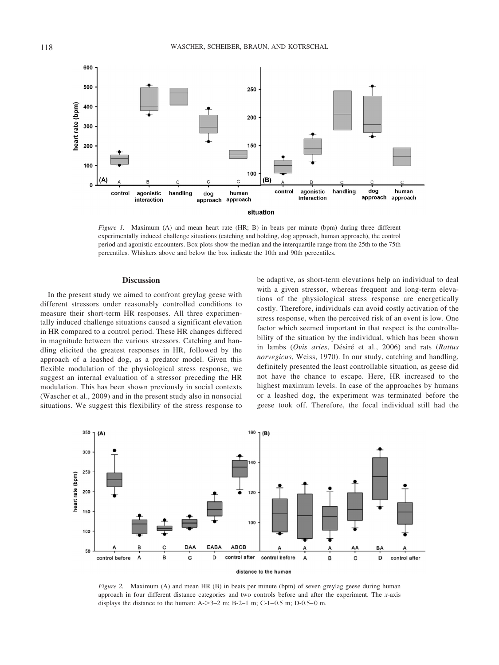

*Figure 1.* Maximum (A) and mean heart rate (HR; B) in beats per minute (bpm) during three different experimentally induced challenge situations (catching and holding, dog approach, human approach), the control period and agonistic encounters. Box plots show the median and the interquartile range from the 25th to the 75th percentiles. Whiskers above and below the box indicate the 10th and 90th percentiles.

#### **Discussion**

In the present study we aimed to confront greylag geese with different stressors under reasonably controlled conditions to measure their short-term HR responses. All three experimentally induced challenge situations caused a significant elevation in HR compared to a control period. These HR changes differed in magnitude between the various stressors. Catching and handling elicited the greatest responses in HR, followed by the approach of a leashed dog, as a predator model. Given this flexible modulation of the physiological stress response, we suggest an internal evaluation of a stressor preceding the HR modulation. This has been shown previously in social contexts (Wascher et al., 2009) and in the present study also in nonsocial situations. We suggest this flexibility of the stress response to

be adaptive, as short-term elevations help an individual to deal with a given stressor, whereas frequent and long-term elevations of the physiological stress response are energetically costly. Therefore, individuals can avoid costly activation of the stress response, when the perceived risk of an event is low. One factor which seemed important in that respect is the controllability of the situation by the individual, which has been shown in lambs (Ovis aries, Désiré et al., 2006) and rats (*Rattus norvegicus*, Weiss, 1970). In our study, catching and handling, definitely presented the least controllable situation, as geese did not have the chance to escape. Here, HR increased to the highest maximum levels. In case of the approaches by humans or a leashed dog, the experiment was terminated before the geese took off. Therefore, the focal individual still had the



*Figure 2.* Maximum (A) and mean HR (B) in beats per minute (bpm) of seven greylag geese during human approach in four different distance categories and two controls before and after the experiment. The *x*-axis displays the distance to the human:  $A - 3 - 2$  m;  $B - 2 - 1$  m;  $C - 1 - 0.5$  m;  $D - 0.5 - 0$  m.